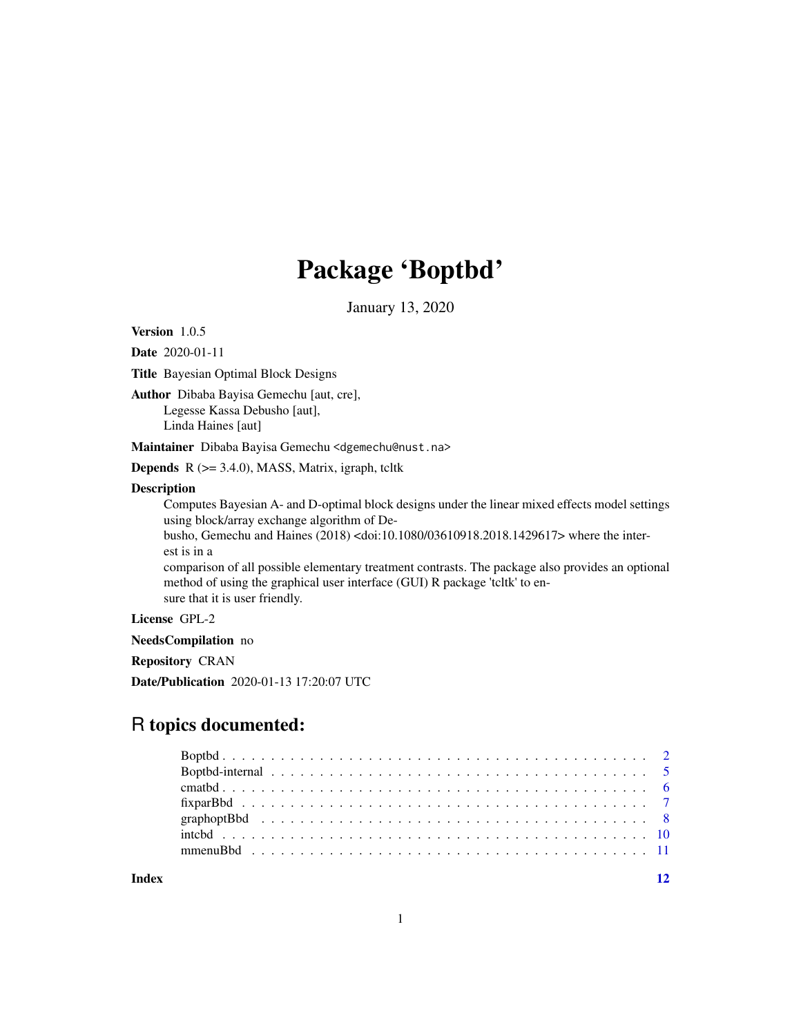## Package 'Boptbd'

January 13, 2020

<span id="page-0-0"></span>Version 1.0.5

Date 2020-01-11

Title Bayesian Optimal Block Designs

Author Dibaba Bayisa Gemechu [aut, cre], Legesse Kassa Debusho [aut], Linda Haines [aut]

Maintainer Dibaba Bayisa Gemechu <dgemechu@nust.na>

Depends R (>= 3.4.0), MASS, Matrix, igraph, tcltk

#### Description

Computes Bayesian A- and D-optimal block designs under the linear mixed effects model settings using block/array exchange algorithm of De-

busho, Gemechu and Haines (2018) <doi:10.1080/03610918.2018.1429617> where the interest is in a

comparison of all possible elementary treatment contrasts. The package also provides an optional method of using the graphical user interface (GUI) R package 'tcltk' to ensure that it is user friendly.

License GPL-2

NeedsCompilation no

Repository CRAN

Date/Publication 2020-01-13 17:20:07 UTC

## R topics documented:

**Index** [12](#page-11-0)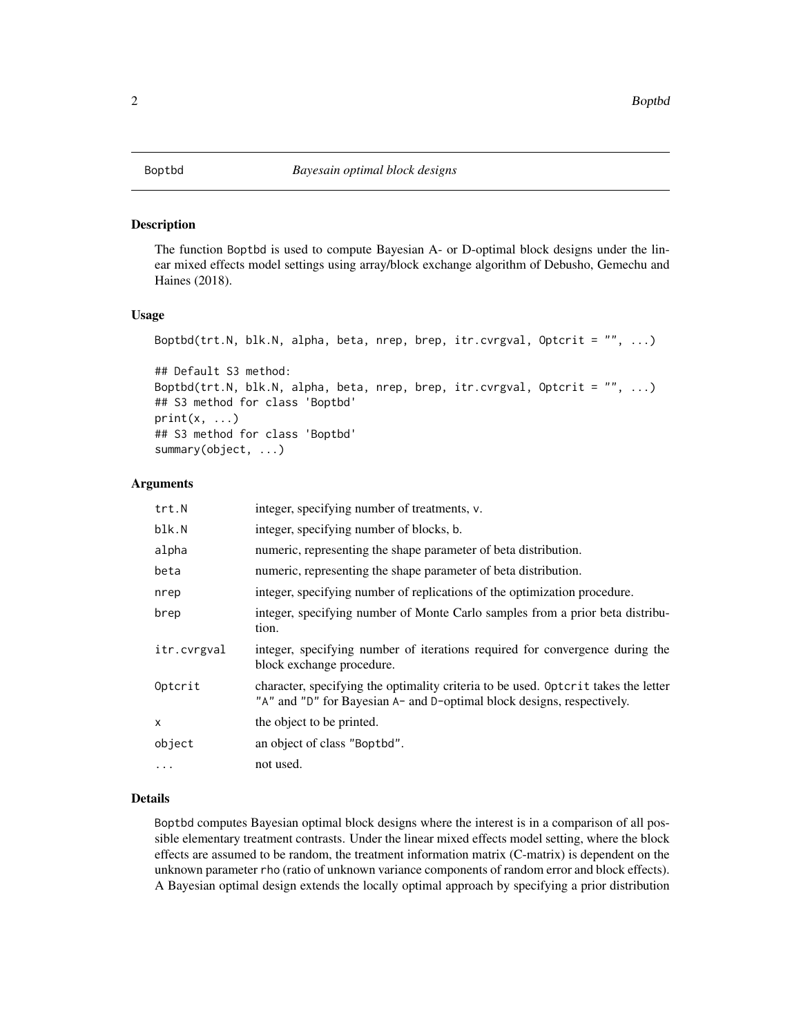#### <span id="page-1-1"></span><span id="page-1-0"></span>Description

The function Boptbd is used to compute Bayesian A- or D-optimal block designs under the linear mixed effects model settings using array/block exchange algorithm of Debusho, Gemechu and Haines (2018).

#### Usage

```
Boptbd(trt.N, blk.N, alpha, beta, nrep, brep, itr.cvrgval, Optcrit = "", ...)
## Default S3 method:
Boptbd(trt.N, blk.N, alpha, beta, nrep, brep, itr.cvrgval, Optcrit = "", ...)
## S3 method for class 'Boptbd'
print(x, \ldots)
```

```
## S3 method for class 'Boptbd'
summary(object, ...)
```
#### Arguments

| trt.N       | integer, specifying number of treatments, v.                                                                                                                 |
|-------------|--------------------------------------------------------------------------------------------------------------------------------------------------------------|
| blk.N       | integer, specifying number of blocks, b.                                                                                                                     |
| alpha       | numeric, representing the shape parameter of beta distribution.                                                                                              |
| beta        | numeric, representing the shape parameter of beta distribution.                                                                                              |
| nrep        | integer, specifying number of replications of the optimization procedure.                                                                                    |
| brep        | integer, specifying number of Monte Carlo samples from a prior beta distribu-<br>tion.                                                                       |
| itr.cvrgval | integer, specifying number of iterations required for convergence during the<br>block exchange procedure.                                                    |
| Optcrit     | character, specifying the optimality criteria to be used. Optorit takes the letter<br>"A" and "D" for Bayesian A- and D-optimal block designs, respectively. |
| x           | the object to be printed.                                                                                                                                    |
| object      | an object of class "Boptbd".                                                                                                                                 |
| $\cdots$    | not used.                                                                                                                                                    |

#### Details

Boptbd computes Bayesian optimal block designs where the interest is in a comparison of all possible elementary treatment contrasts. Under the linear mixed effects model setting, where the block effects are assumed to be random, the treatment information matrix (C-matrix) is dependent on the unknown parameter rho (ratio of unknown variance components of random error and block effects). A Bayesian optimal design extends the locally optimal approach by specifying a prior distribution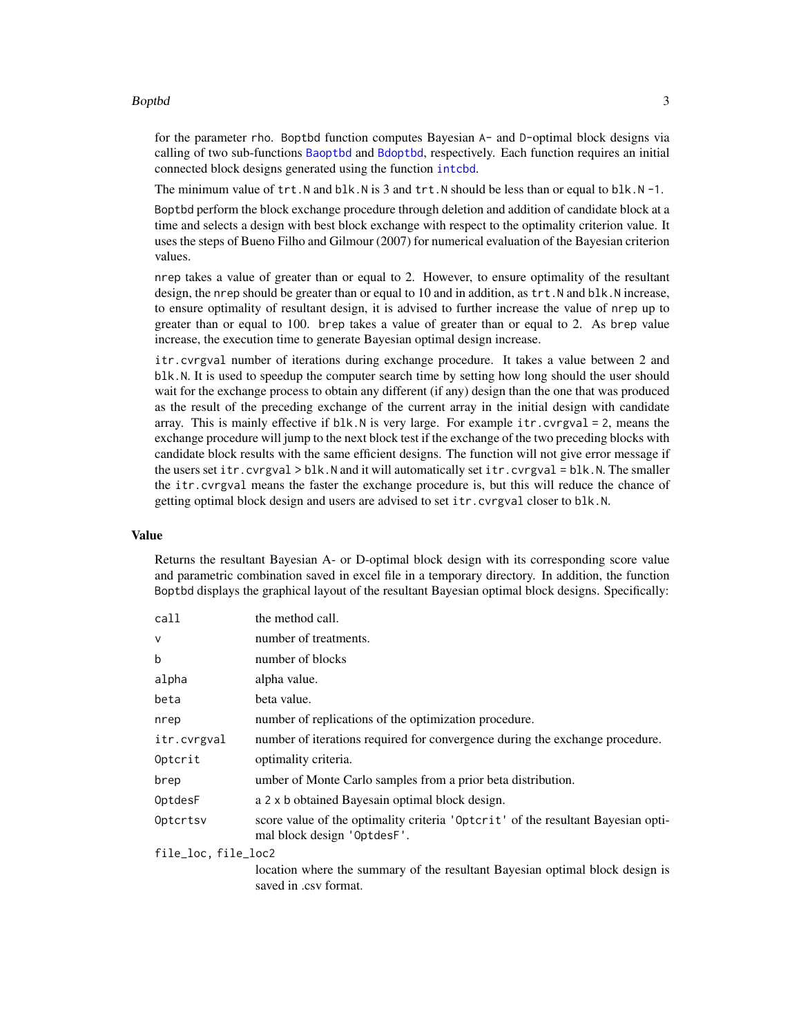#### <span id="page-2-0"></span>Boptbd 3

for the parameter rho. Boptbd function computes Bayesian A- and D-optimal block designs via calling of two sub-functions [Baoptbd](#page-4-1) and [Bdoptbd](#page-4-1), respectively. Each function requires an initial connected block designs generated using the function [intcbd](#page-9-1).

The minimum value of  $trt$ . N and blk. N is 3 and  $trt$ . N should be less than or equal to blk. N -1.

Boptbd perform the block exchange procedure through deletion and addition of candidate block at a time and selects a design with best block exchange with respect to the optimality criterion value. It uses the steps of Bueno Filho and Gilmour (2007) for numerical evaluation of the Bayesian criterion values.

nrep takes a value of greater than or equal to 2. However, to ensure optimality of the resultant design, the nrep should be greater than or equal to 10 and in addition, as trt. N and blk. N increase, to ensure optimality of resultant design, it is advised to further increase the value of nrep up to greater than or equal to 100. brep takes a value of greater than or equal to 2. As brep value increase, the execution time to generate Bayesian optimal design increase.

itr.cvrgval number of iterations during exchange procedure. It takes a value between 2 and blk.N. It is used to speedup the computer search time by setting how long should the user should wait for the exchange process to obtain any different (if any) design than the one that was produced as the result of the preceding exchange of the current array in the initial design with candidate array. This is mainly effective if blk.N is very large. For example itr.cvrgval = 2, means the exchange procedure will jump to the next block test if the exchange of the two preceding blocks with candidate block results with the same efficient designs. The function will not give error message if the users set itr.cvrgval > blk.N and it will automatically set itr.cvrgval = blk.N. The smaller the itr.cvrgval means the faster the exchange procedure is, but this will reduce the chance of getting optimal block design and users are advised to set itr.cvrgval closer to blk.N.

#### Value

Returns the resultant Bayesian A- or D-optimal block design with its corresponding score value and parametric combination saved in excel file in a temporary directory. In addition, the function Boptbd displays the graphical layout of the resultant Bayesian optimal block designs. Specifically:

| call                | the method call.                                                                                                |
|---------------------|-----------------------------------------------------------------------------------------------------------------|
| $\mathsf{V}$        | number of treatments.                                                                                           |
| b                   | number of blocks                                                                                                |
| alpha               | alpha value.                                                                                                    |
| beta                | beta value.                                                                                                     |
| nrep                | number of replications of the optimization procedure.                                                           |
| itr.cvrgval         | number of iterations required for convergence during the exchange procedure.                                    |
| Optcrit             | optimality criteria.                                                                                            |
| brep                | umber of Monte Carlo samples from a prior beta distribution.                                                    |
| OptdesF             | a 2 x b obtained Bayesain optimal block design.                                                                 |
| Optcrtsv            | score value of the optimality criteria 'Optcrit' of the resultant Bayesian opti-<br>mal block design 'OptdesF'. |
| file_loc, file_loc2 |                                                                                                                 |
|                     | location where the summary of the resultant Bayesian optimal block design is<br>saved in .csv format.           |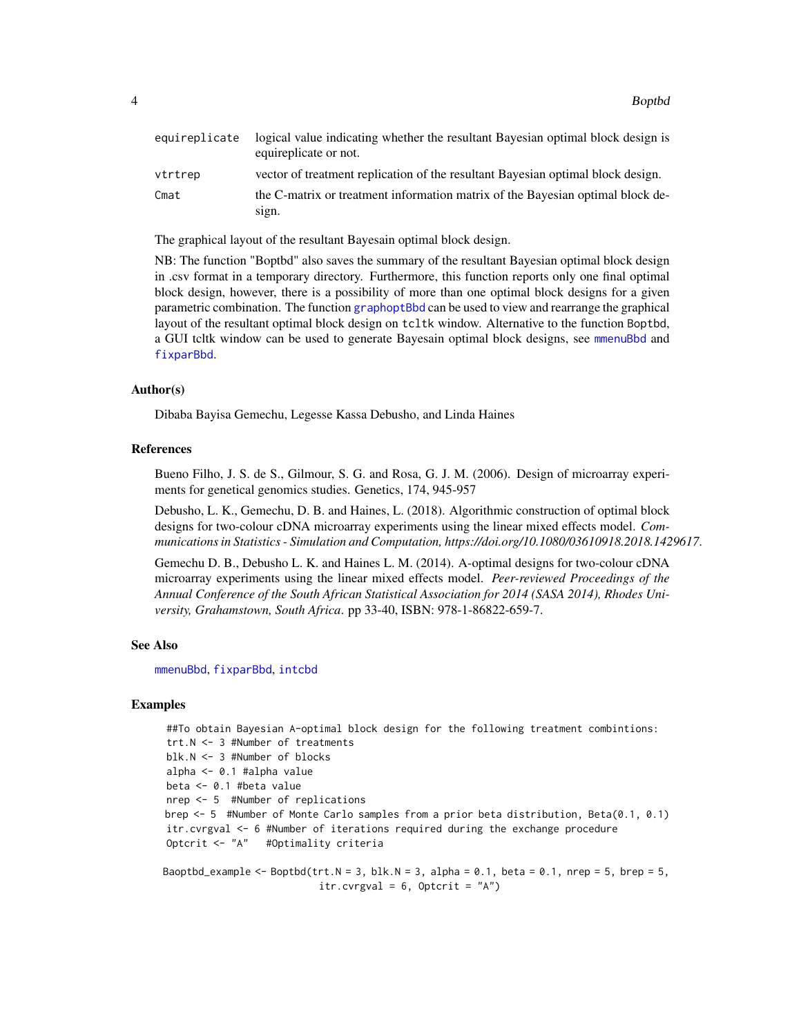<span id="page-3-0"></span>

| equireplicate | logical value indicating whether the resultant Bayesian optimal block design is<br>equireplicate or not. |
|---------------|----------------------------------------------------------------------------------------------------------|
| vtrtrep       | vector of treatment replication of the resultant Bayesian optimal block design.                          |
| Cmat          | the C-matrix or treatment information matrix of the Bayesian optimal block de-<br>sign.                  |

The graphical layout of the resultant Bayesain optimal block design.

NB: The function "Boptbd" also saves the summary of the resultant Bayesian optimal block design in .csv format in a temporary directory. Furthermore, this function reports only one final optimal block design, however, there is a possibility of more than one optimal block designs for a given parametric combination. The function [graphoptBbd](#page-7-1) can be used to view and rearrange the graphical layout of the resultant optimal block design on tcltk window. Alternative to the function Boptbd, a GUI tcltk window can be used to generate Bayesain optimal block designs, see [mmenuBbd](#page-10-1) and [fixparBbd](#page-6-1).

#### Author(s)

Dibaba Bayisa Gemechu, Legesse Kassa Debusho, and Linda Haines

#### References

Bueno Filho, J. S. de S., Gilmour, S. G. and Rosa, G. J. M. (2006). Design of microarray experiments for genetical genomics studies. Genetics, 174, 945-957

Debusho, L. K., Gemechu, D. B. and Haines, L. (2018). Algorithmic construction of optimal block designs for two-colour cDNA microarray experiments using the linear mixed effects model. *Communications in Statistics - Simulation and Computation, https://doi.org/10.1080/03610918.2018.1429617*.

Gemechu D. B., Debusho L. K. and Haines L. M. (2014). A-optimal designs for two-colour cDNA microarray experiments using the linear mixed effects model. *Peer-reviewed Proceedings of the Annual Conference of the South African Statistical Association for 2014 (SASA 2014), Rhodes University, Grahamstown, South Africa*. pp 33-40, ISBN: 978-1-86822-659-7.

#### See Also

[mmenuBbd](#page-10-1), [fixparBbd](#page-6-1), [intcbd](#page-9-1)

#### Examples

```
##To obtain Bayesian A-optimal block design for the following treatment combintions:
trt.N <- 3 #Number of treatments
blk.N <- 3 #Number of blocks
alpha <- 0.1 #alpha value
beta <- 0.1 #beta value
nrep <- 5 #Number of replications
brep <- 5 #Number of Monte Carlo samples from a prior beta distribution, Beta(0.1, 0.1)
itr.cvrgval <- 6 #Number of iterations required during the exchange procedure
Optcrit <- "A" #Optimality criteria
Baoptbd_example <- Boptbd(trt.N = 3, blk.N = 3, alpha = 0.1, beta = 0.1, nrep = 5, brep = 5,
                          itr.cvrgval = 6, Optcrit = "A")
```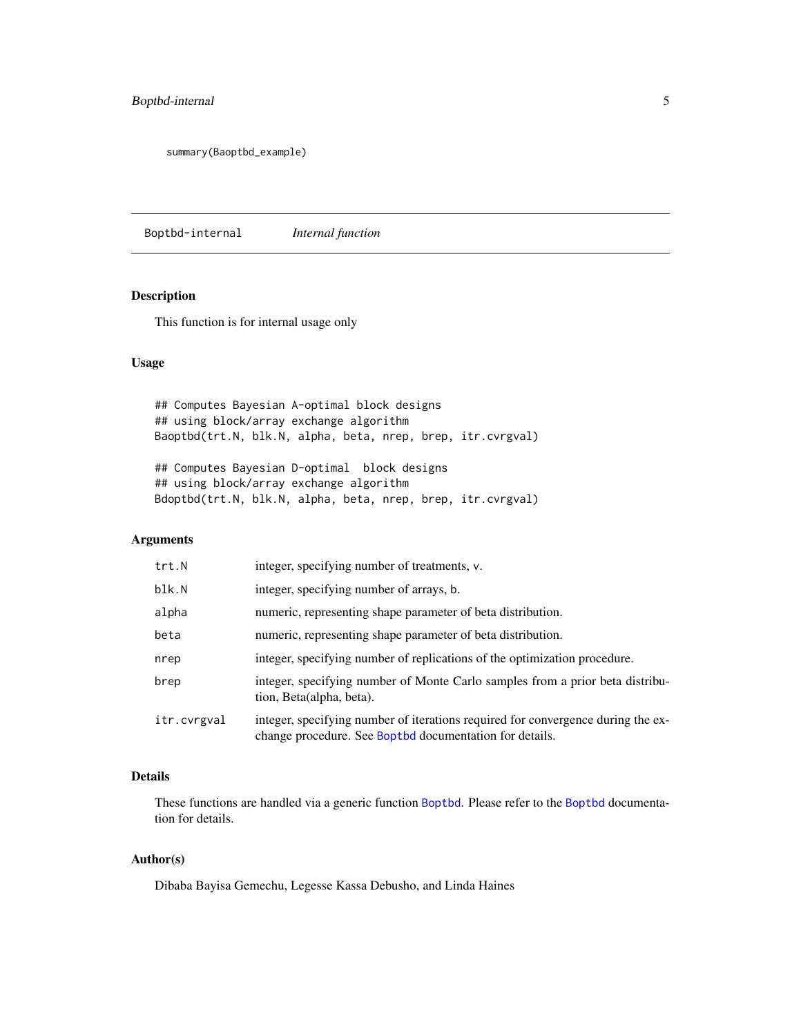### <span id="page-4-0"></span>Boptbd-internal 5

summary(Baoptbd\_example)

Boptbd-internal *Internal function*

#### <span id="page-4-1"></span>Description

This function is for internal usage only

### Usage

## Computes Bayesian A-optimal block designs ## using block/array exchange algorithm Baoptbd(trt.N, blk.N, alpha, beta, nrep, brep, itr.cvrgval)

## Computes Bayesian D-optimal block designs ## using block/array exchange algorithm Bdoptbd(trt.N, blk.N, alpha, beta, nrep, brep, itr.cvrgval)

### Arguments

| trt.N       | integer, specifying number of treatments, v.                                                                                                |
|-------------|---------------------------------------------------------------------------------------------------------------------------------------------|
| blk.N       | integer, specifying number of arrays, b.                                                                                                    |
| alpha       | numeric, representing shape parameter of beta distribution.                                                                                 |
| beta        | numeric, representing shape parameter of beta distribution.                                                                                 |
| nrep        | integer, specifying number of replications of the optimization procedure.                                                                   |
| brep        | integer, specifying number of Monte Carlo samples from a prior beta distribu-<br>tion, Beta(alpha, beta).                                   |
| itr.cvrgval | integer, specifying number of iterations required for convergence during the ex-<br>change procedure. See Boptbd documentation for details. |

### Details

These functions are handled via a generic function [Boptbd](#page-1-1). Please refer to the [Boptbd](#page-1-1) documentation for details.

#### Author(s)

Dibaba Bayisa Gemechu, Legesse Kassa Debusho, and Linda Haines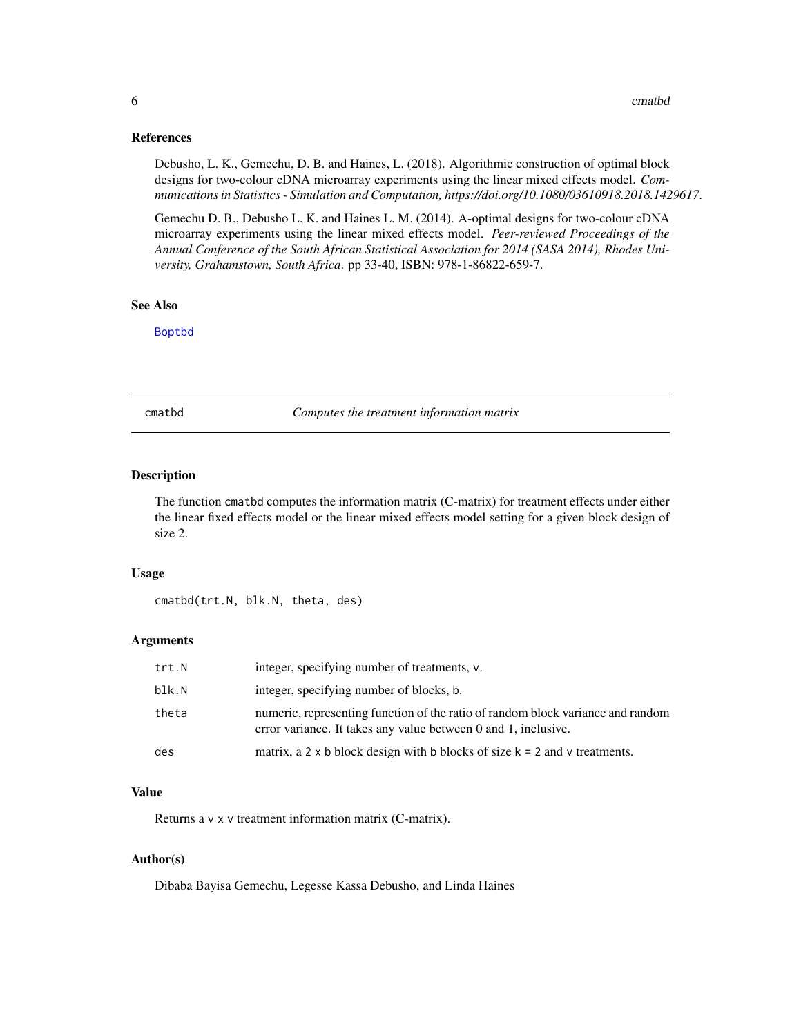#### <span id="page-5-0"></span>References

Debusho, L. K., Gemechu, D. B. and Haines, L. (2018). Algorithmic construction of optimal block designs for two-colour cDNA microarray experiments using the linear mixed effects model. *Communications in Statistics - Simulation and Computation, https://doi.org/10.1080/03610918.2018.1429617*.

Gemechu D. B., Debusho L. K. and Haines L. M. (2014). A-optimal designs for two-colour cDNA microarray experiments using the linear mixed effects model. *Peer-reviewed Proceedings of the Annual Conference of the South African Statistical Association for 2014 (SASA 2014), Rhodes University, Grahamstown, South Africa*. pp 33-40, ISBN: 978-1-86822-659-7.

#### See Also

[Boptbd](#page-1-1)

<span id="page-5-1"></span>cmatbd *Computes the treatment information matrix*

#### Description

The function cmatbd computes the information matrix (C-matrix) for treatment effects under either the linear fixed effects model or the linear mixed effects model setting for a given block design of size 2.

#### Usage

cmatbd(trt.N, blk.N, theta, des)

#### Arguments

| trt.N | integer, specifying number of treatments, v.                                                                                                      |
|-------|---------------------------------------------------------------------------------------------------------------------------------------------------|
| blk.N | integer, specifying number of blocks, b.                                                                                                          |
| theta | numeric, representing function of the ratio of random block variance and random<br>error variance. It takes any value between 0 and 1, inclusive. |
| des   | matrix, a 2 x b block design with b blocks of size $k = 2$ and v treatments.                                                                      |

#### Value

Returns a v x v treatment information matrix (C-matrix).

#### Author(s)

Dibaba Bayisa Gemechu, Legesse Kassa Debusho, and Linda Haines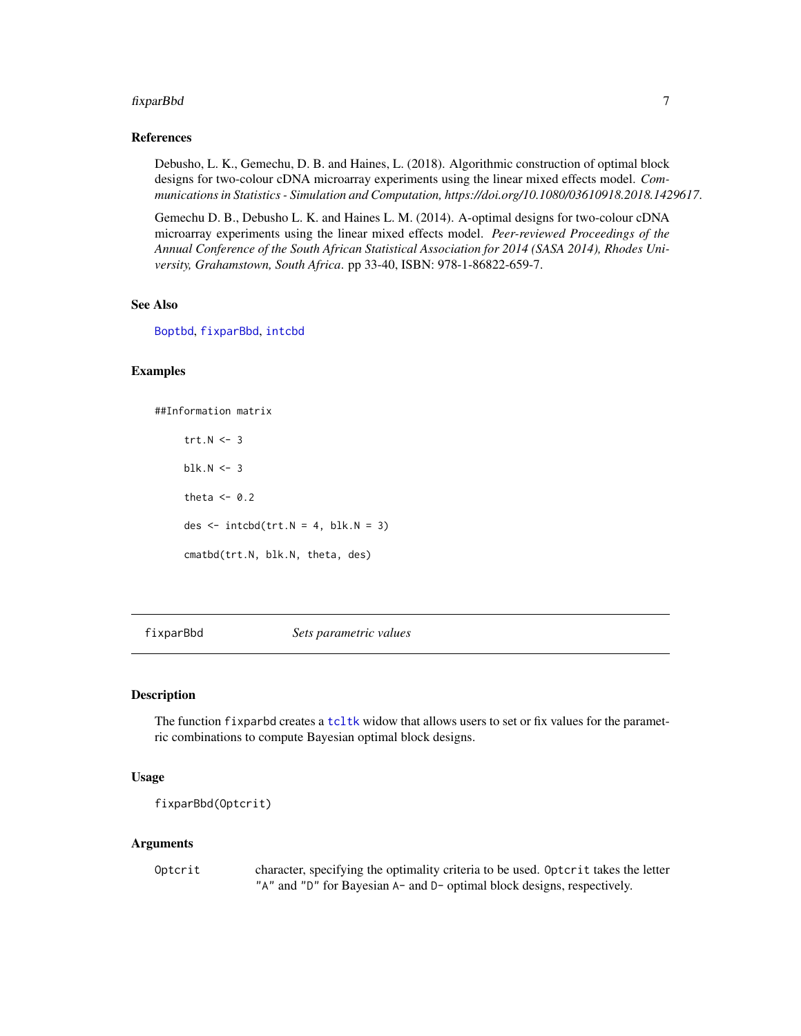#### <span id="page-6-0"></span>fixparBbd 7

#### References

Debusho, L. K., Gemechu, D. B. and Haines, L. (2018). Algorithmic construction of optimal block designs for two-colour cDNA microarray experiments using the linear mixed effects model. *Communications in Statistics - Simulation and Computation, https://doi.org/10.1080/03610918.2018.1429617*.

Gemechu D. B., Debusho L. K. and Haines L. M. (2014). A-optimal designs for two-colour cDNA microarray experiments using the linear mixed effects model. *Peer-reviewed Proceedings of the Annual Conference of the South African Statistical Association for 2014 (SASA 2014), Rhodes University, Grahamstown, South Africa*. pp 33-40, ISBN: 978-1-86822-659-7.

#### See Also

[Boptbd](#page-1-1), [fixparBbd](#page-6-1), [intcbd](#page-9-1)

#### Examples

##Information matrix

trt. $N < -3$  $blk.N < -3$ theta  $<-0.2$ des  $\le$  intcbd(trt.N = 4, blk.N = 3) cmatbd(trt.N, blk.N, theta, des)

<span id="page-6-1"></span>fixparBbd *Sets parametric values*

#### Description

The function fixparbd creates a [tcltk](#page-0-0) widow that allows users to set or fix values for the parametric combinations to compute Bayesian optimal block designs.

### Usage

fixparBbd(Optcrit)

#### **Arguments**

| Optcrit | character, specifying the optimality criteria to be used. Optorit takes the letter |
|---------|------------------------------------------------------------------------------------|
|         | "A" and "D" for Bayesian A- and D- optimal block designs, respectively.            |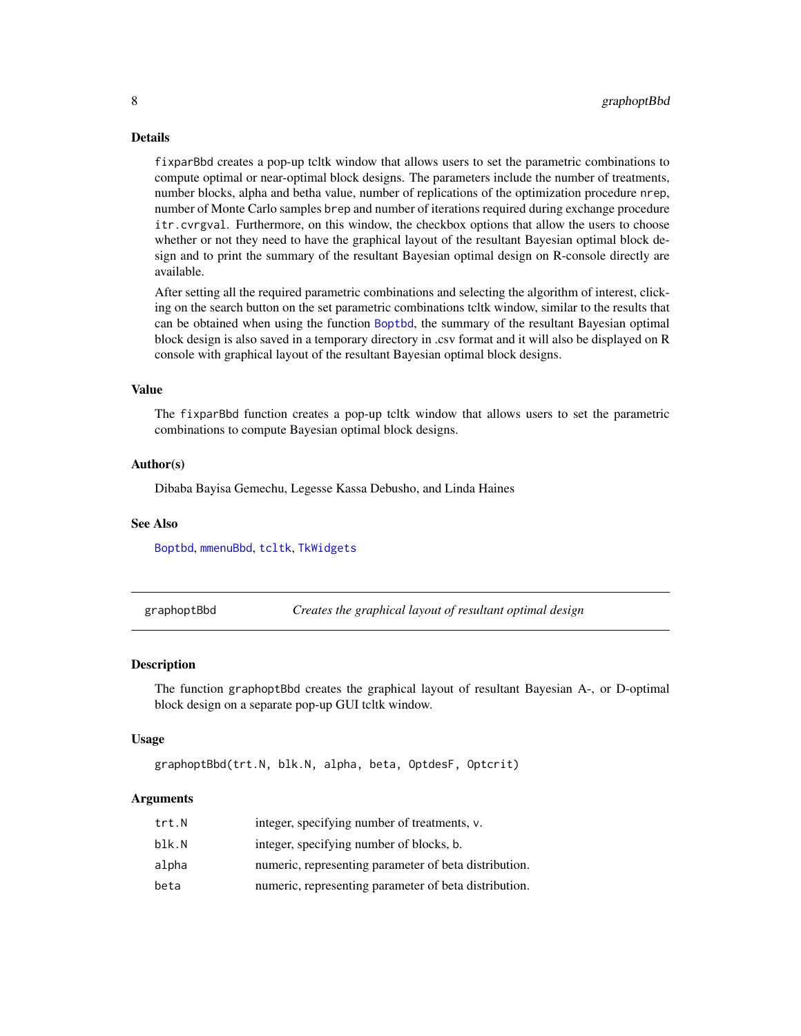#### <span id="page-7-0"></span>Details

fixparBbd creates a pop-up tcltk window that allows users to set the parametric combinations to compute optimal or near-optimal block designs. The parameters include the number of treatments, number blocks, alpha and betha value, number of replications of the optimization procedure nrep, number of Monte Carlo samples brep and number of iterations required during exchange procedure itr.cvrgval. Furthermore, on this window, the checkbox options that allow the users to choose whether or not they need to have the graphical layout of the resultant Bayesian optimal block design and to print the summary of the resultant Bayesian optimal design on R-console directly are available.

After setting all the required parametric combinations and selecting the algorithm of interest, clicking on the search button on the set parametric combinations tcltk window, similar to the results that can be obtained when using the function [Boptbd](#page-1-1), the summary of the resultant Bayesian optimal block design is also saved in a temporary directory in .csv format and it will also be displayed on R console with graphical layout of the resultant Bayesian optimal block designs.

#### Value

The fixparBbd function creates a pop-up tcltk window that allows users to set the parametric combinations to compute Bayesian optimal block designs.

#### Author(s)

Dibaba Bayisa Gemechu, Legesse Kassa Debusho, and Linda Haines

#### See Also

[Boptbd](#page-1-1), [mmenuBbd](#page-10-1), [tcltk](#page-0-0), [TkWidgets](#page-0-0)

<span id="page-7-1"></span>graphoptBbd *Creates the graphical layout of resultant optimal design*

#### Description

The function graphoptBbd creates the graphical layout of resultant Bayesian A-, or D-optimal block design on a separate pop-up GUI tcltk window.

#### Usage

```
graphoptBbd(trt.N, blk.N, alpha, beta, OptdesF, Optcrit)
```
#### Arguments

| trt.N | integer, specifying number of treatments, v.          |
|-------|-------------------------------------------------------|
| blk.N | integer, specifying number of blocks, b.              |
| alpha | numeric, representing parameter of beta distribution. |
| beta  | numeric, representing parameter of beta distribution. |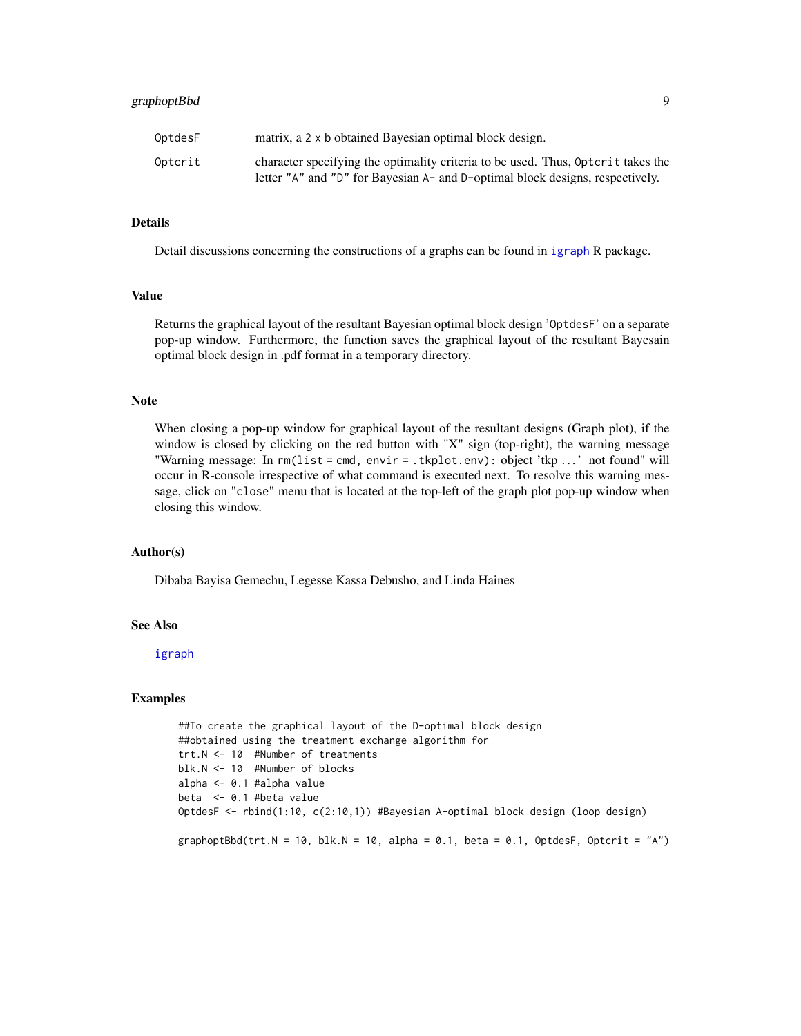#### <span id="page-8-0"></span>graphoptBbd 9

#### Details

Detail discussions concerning the constructions of a graphs can be found in [igraph](#page-0-0) R package.

#### Value

Returns the graphical layout of the resultant Bayesian optimal block design 'OptdesF' on a separate pop-up window. Furthermore, the function saves the graphical layout of the resultant Bayesain optimal block design in .pdf format in a temporary directory.

#### Note

When closing a pop-up window for graphical layout of the resultant designs (Graph plot), if the window is closed by clicking on the red button with "X" sign (top-right), the warning message "Warning message: In rm(list = cmd, envir = .tkplot.env): object 'tkp . . . ' not found" will occur in R-console irrespective of what command is executed next. To resolve this warning message, click on "close" menu that is located at the top-left of the graph plot pop-up window when closing this window.

#### Author(s)

Dibaba Bayisa Gemechu, Legesse Kassa Debusho, and Linda Haines

#### See Also

[igraph](#page-0-0)

### Examples

```
##To create the graphical layout of the D-optimal block design
##obtained using the treatment exchange algorithm for
trt.N <- 10 #Number of treatments
blk.N <- 10 #Number of blocks
alpha <- 0.1 #alpha value
beta <- 0.1 #beta value
OptdesF <- rbind(1:10, c(2:10,1)) #Bayesian A-optimal block design (loop design)
graphoptBbd(trt.N = 10, blk.N = 10, alpha = 0.1, beta = 0.1, OptdesF, Optcrit = "A")
```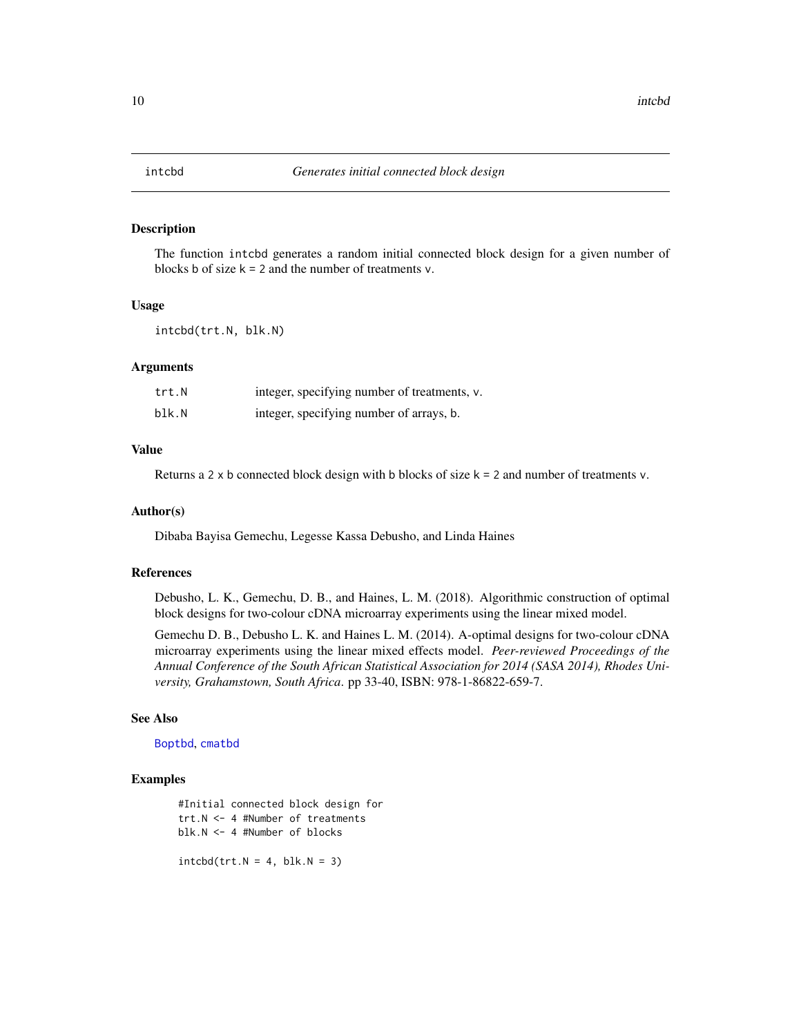<span id="page-9-1"></span><span id="page-9-0"></span>

#### Description

The function intcbd generates a random initial connected block design for a given number of blocks b of size  $k = 2$  and the number of treatments v.

#### Usage

intcbd(trt.N, blk.N)

#### Arguments

| trt.N | integer, specifying number of treatments, v. |
|-------|----------------------------------------------|
| blk.N | integer, specifying number of arrays, b.     |

#### Value

Returns a 2 x b connected block design with b blocks of size  $k = 2$  and number of treatments v.

#### Author(s)

Dibaba Bayisa Gemechu, Legesse Kassa Debusho, and Linda Haines

#### References

Debusho, L. K., Gemechu, D. B., and Haines, L. M. (2018). Algorithmic construction of optimal block designs for two-colour cDNA microarray experiments using the linear mixed model.

Gemechu D. B., Debusho L. K. and Haines L. M. (2014). A-optimal designs for two-colour cDNA microarray experiments using the linear mixed effects model. *Peer-reviewed Proceedings of the Annual Conference of the South African Statistical Association for 2014 (SASA 2014), Rhodes University, Grahamstown, South Africa*. pp 33-40, ISBN: 978-1-86822-659-7.

#### See Also

[Boptbd](#page-1-1), [cmatbd](#page-5-1)

#### Examples

#Initial connected block design for trt.N <- 4 #Number of treatments blk.N <- 4 #Number of blocks  $intcbd(trt.N = 4, blk.N = 3)$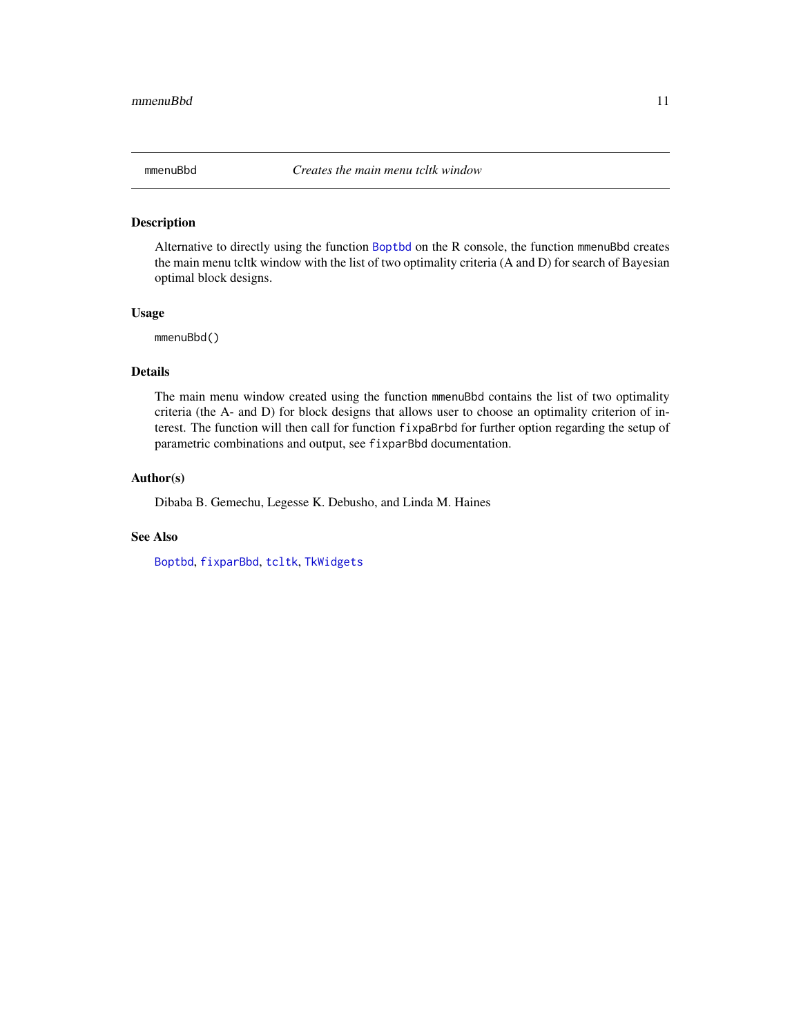<span id="page-10-1"></span><span id="page-10-0"></span>

#### Description

Alternative to directly using the function [Boptbd](#page-1-1) on the R console, the function mmenuBbd creates the main menu tcltk window with the list of two optimality criteria (A and D) for search of Bayesian optimal block designs.

#### Usage

mmenuBbd()

#### Details

The main menu window created using the function mmenuBbd contains the list of two optimality criteria (the A- and D) for block designs that allows user to choose an optimality criterion of interest. The function will then call for function fixpaBrbd for further option regarding the setup of parametric combinations and output, see fixparBbd documentation.

#### Author(s)

Dibaba B. Gemechu, Legesse K. Debusho, and Linda M. Haines

### See Also

[Boptbd](#page-1-1), [fixparBbd](#page-6-1), [tcltk](#page-0-0), [TkWidgets](#page-0-0)